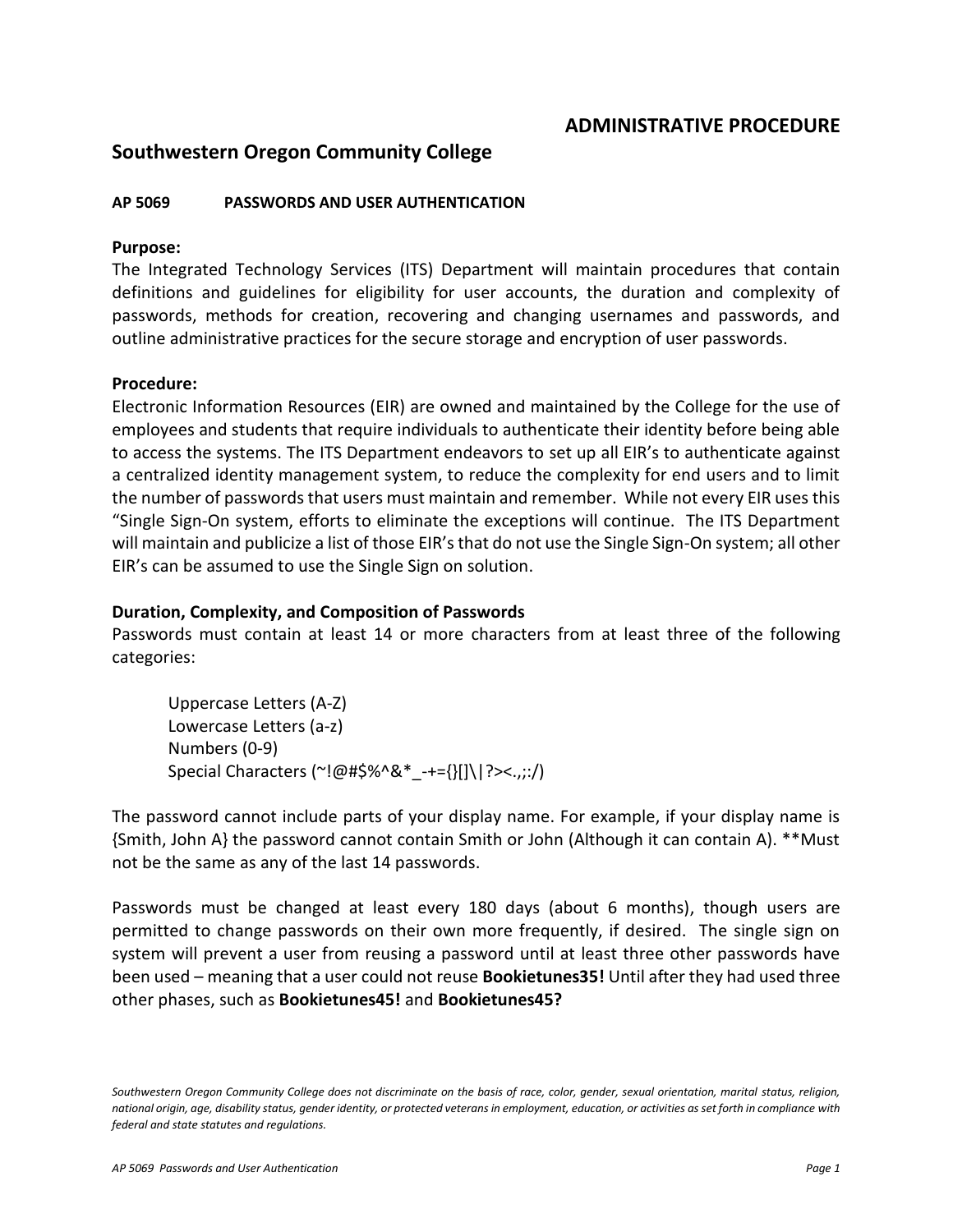## **ADMINISTRATIVE PROCEDURE**

# **Southwestern Oregon Community College**

## **AP 5069 PASSWORDS AND USER AUTHENTICATION**

### **Purpose:**

The Integrated Technology Services (ITS) Department will maintain procedures that contain definitions and guidelines for eligibility for user accounts, the duration and complexity of passwords, methods for creation, recovering and changing usernames and passwords, and outline administrative practices for the secure storage and encryption of user passwords.

#### **Procedure:**

Electronic Information Resources (EIR) are owned and maintained by the College for the use of employees and students that require individuals to authenticate their identity before being able to access the systems. The ITS Department endeavors to set up all EIR's to authenticate against a centralized identity management system, to reduce the complexity for end users and to limit the number of passwords that users must maintain and remember. While not every EIR uses this "Single Sign-On system, efforts to eliminate the exceptions will continue. The ITS Department will maintain and publicize a list of those EIR's that do not use the Single Sign-On system; all other EIR's can be assumed to use the Single Sign on solution.

#### **Duration, Complexity, and Composition of Passwords**

Passwords must contain at least 14 or more characters from at least three of the following categories:

Uppercase Letters (A-Z) Lowercase Letters (a-z) Numbers (0-9) Special Characters (~!@#\$%^&\*\_-+={}[]\|?><.,;:/)

The password cannot include parts of your display name. For example, if your display name is {Smith, John A} the password cannot contain Smith or John (Although it can contain A). \*\*Must not be the same as any of the last 14 passwords.

Passwords must be changed at least every 180 days (about 6 months), though users are permitted to change passwords on their own more frequently, if desired. The single sign on system will prevent a user from reusing a password until at least three other passwords have been used – meaning that a user could not reuse **Bookietunes35!** Until after they had used three other phases, such as **Bookietunes45!** and **Bookietunes45?**

*Southwestern Oregon Community College does not discriminate on the basis of race, color, gender, sexual orientation, marital status, religion, national origin, age, disability status, gender identity, or protected veterans in employment, education, or activities as set forth in compliance with federal and state statutes and regulations.*